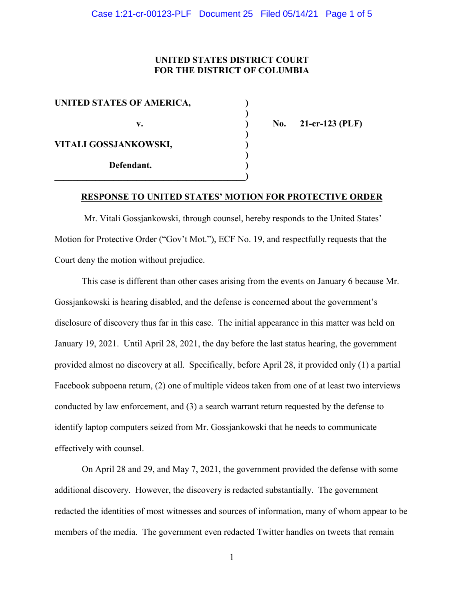## **UNITED STATES DISTRICT COURT FOR THE DISTRICT OF COLUMBIA**

| UNITED STATES OF AMERICA, |  |
|---------------------------|--|
| v.                        |  |
| VITALI GOSSJANKOWSKI,     |  |
| Defendant.                |  |

**v. ) No. 21-cr-123 (PLF)**

## **RESPONSE TO UNITED STATES' MOTION FOR PROTECTIVE ORDER**

Mr. Vitali Gossjankowski, through counsel, hereby responds to the United States' Motion for Protective Order ("Gov't Mot."), ECF No. 19, and respectfully requests that the Court deny the motion without prejudice.

This case is different than other cases arising from the events on January 6 because Mr. Gossjankowski is hearing disabled, and the defense is concerned about the government's disclosure of discovery thus far in this case. The initial appearance in this matter was held on January 19, 2021. Until April 28, 2021, the day before the last status hearing, the government provided almost no discovery at all. Specifically, before April 28, it provided only (1) a partial Facebook subpoena return, (2) one of multiple videos taken from one of at least two interviews conducted by law enforcement, and (3) a search warrant return requested by the defense to identify laptop computers seized from Mr. Gossjankowski that he needs to communicate effectively with counsel.

On April 28 and 29, and May 7, 2021, the government provided the defense with some additional discovery. However, the discovery is redacted substantially. The government redacted the identities of most witnesses and sources of information, many of whom appear to be members of the media. The government even redacted Twitter handles on tweets that remain

1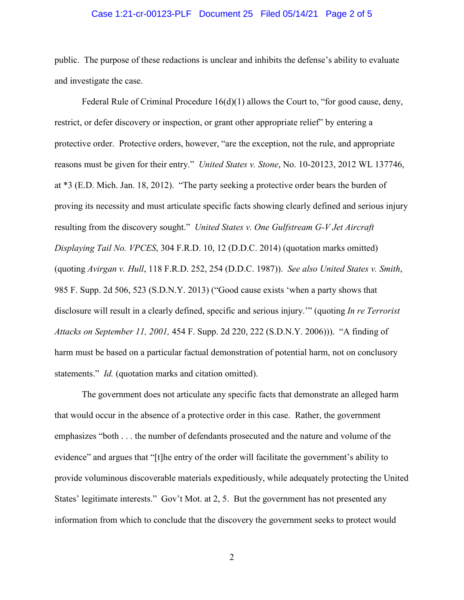### Case 1:21-cr-00123-PLF Document 25 Filed 05/14/21 Page 2 of 5

public. The purpose of these redactions is unclear and inhibits the defense's ability to evaluate and investigate the case.

Federal Rule of Criminal Procedure  $16(d)(1)$  allows the Court to, "for good cause, deny, restrict, or defer discovery or inspection, or grant other appropriate relief" by entering a protective order. Protective orders, however, "are the exception, not the rule, and appropriate reasons must be given for their entry." *United States v. Stone*, No. 10-20123, 2012 WL 137746, at \*3 (E.D. Mich. Jan. 18, 2012). "The party seeking a protective order bears the burden of proving its necessity and must articulate specific facts showing clearly defined and serious injury resulting from the discovery sought." *United States v. One Gulfstream G-V Jet Aircraft Displaying Tail No. VPCES*, 304 F.R.D. 10, 12 (D.D.C. 2014) (quotation marks omitted) (quoting *Avirgan v. Hull*, 118 F.R.D. 252, 254 (D.D.C. 1987)). *See also United States v. Smith*, 985 F. Supp. 2d 506, 523 (S.D.N.Y. 2013) ("Good cause exists 'when a party shows that disclosure will result in a clearly defined, specific and serious injury.'" (quoting *In re Terrorist Attacks on September 11, 2001,* 454 F. Supp. 2d 220, 222 (S.D.N.Y. 2006))). "A finding of harm must be based on a particular factual demonstration of potential harm, not on conclusory statements." *Id.* (quotation marks and citation omitted).

The government does not articulate any specific facts that demonstrate an alleged harm that would occur in the absence of a protective order in this case. Rather, the government emphasizes "both . . . the number of defendants prosecuted and the nature and volume of the evidence" and argues that "[t]he entry of the order will facilitate the government's ability to provide voluminous discoverable materials expeditiously, while adequately protecting the United States' legitimate interests." Gov't Mot. at 2, 5. But the government has not presented any information from which to conclude that the discovery the government seeks to protect would

2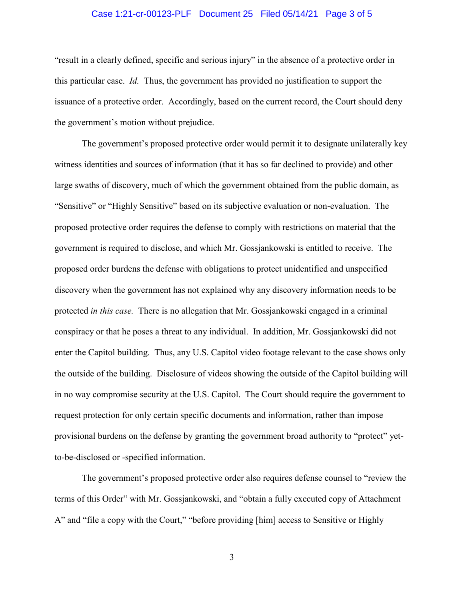### Case 1:21-cr-00123-PLF Document 25 Filed 05/14/21 Page 3 of 5

"result in a clearly defined, specific and serious injury" in the absence of a protective order in this particular case. *Id.* Thus, the government has provided no justification to support the issuance of a protective order. Accordingly, based on the current record, the Court should deny the government's motion without prejudice.

The government's proposed protective order would permit it to designate unilaterally key witness identities and sources of information (that it has so far declined to provide) and other large swaths of discovery, much of which the government obtained from the public domain, as "Sensitive" or "Highly Sensitive" based on its subjective evaluation or non-evaluation. The proposed protective order requires the defense to comply with restrictions on material that the government is required to disclose, and which Mr. Gossjankowski is entitled to receive. The proposed order burdens the defense with obligations to protect unidentified and unspecified discovery when the government has not explained why any discovery information needs to be protected *in this case.* There is no allegation that Mr. Gossjankowski engaged in a criminal conspiracy or that he poses a threat to any individual. In addition, Mr. Gossjankowski did not enter the Capitol building. Thus, any U.S. Capitol video footage relevant to the case shows only the outside of the building. Disclosure of videos showing the outside of the Capitol building will in no way compromise security at the U.S. Capitol. The Court should require the government to request protection for only certain specific documents and information, rather than impose provisional burdens on the defense by granting the government broad authority to "protect" yetto-be-disclosed or -specified information.

The government's proposed protective order also requires defense counsel to "review the terms of this Order" with Mr. Gossjankowski, and "obtain a fully executed copy of Attachment A" and "file a copy with the Court," "before providing [him] access to Sensitive or Highly

3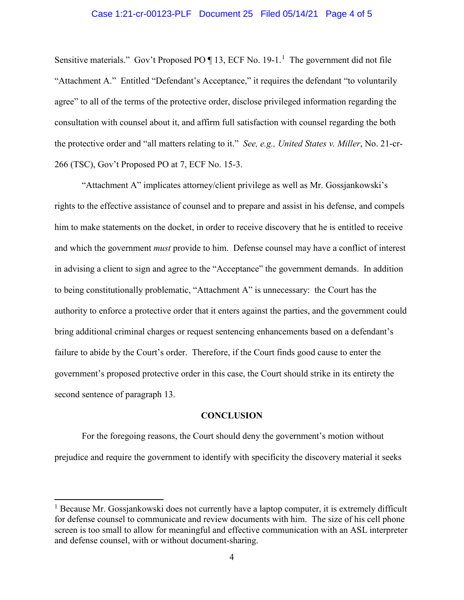#### Case 1:21-cr-00123-PLF Document 25 Filed 05/14/21 Page 4 of 5

Sensitive materials." Gov't Proposed PO  $\P$  13, ECF No. 19-1.<sup>1</sup> The government did not file "Attachment A." Entitled "Defendant's Acceptance," it requires the defendant "to voluntarily agree" to all of the terms of the protective order, disclose privileged information regarding the consultation with counsel about it, and affirm full satisfaction with counsel regarding the both the protective order and "all matters relating to it." *See, e.g., United States v. Miller*, No. 21-cr-266 (TSC), Gov't Proposed PO at 7, ECF No. 15-3.

"Attachment A" implicates attorney/client privilege as well as Mr. Gossjankowski's rights to the effective assistance of counsel and to prepare and assist in his defense, and compels him to make statements on the docket, in order to receive discovery that he is entitled to receive and which the government *must* provide to him. Defense counsel may have a conflict of interest in advising a client to sign and agree to the "Acceptance" the government demands. In addition to being constitutionally problematic, "Attachment A" is unnecessary: the Court has the authority to enforce a protective order that it enters against the parties, and the government could bring additional criminal charges or request sentencing enhancements based on a defendant's failure to abide by the Court's order. Therefore, if the Court finds good cause to enter the government's proposed protective order in this case, the Court should strike in its entirety the second sentence of paragraph 13.

#### **CONCLUSION**

For the foregoing reasons, the Court should deny the government's motion without prejudice and require the government to identify with specificity the discovery material it seeks

 $\overline{\phantom{a}}$ 

 $<sup>1</sup>$  Because Mr. Gossjankowski does not currently have a laptop computer, it is extremely difficult</sup> for defense counsel to communicate and review documents with him. The size of his cell phone screen is too small to allow for meaningful and effective communication with an ASL interpreter and defense counsel, with or without document-sharing.